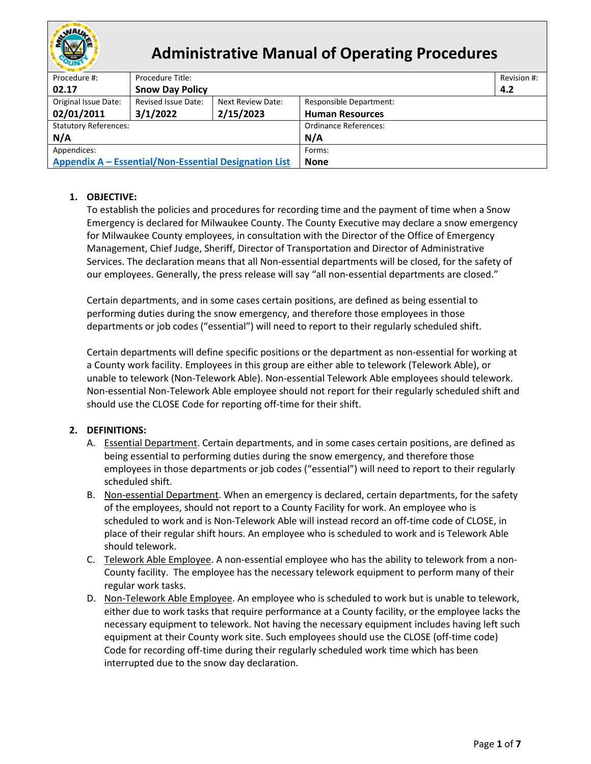

# **Administrative Manual of Operating Procedures**

| Procedure #:                                          | Procedure Title:                                                           |           |                        | Revision #: |  |  |
|-------------------------------------------------------|----------------------------------------------------------------------------|-----------|------------------------|-------------|--|--|
| 02.17                                                 | <b>Snow Day Policy</b><br>4.2                                              |           |                        |             |  |  |
| Original Issue Date:                                  | Revised Issue Date:<br>Next Review Date:<br><b>Responsible Department:</b> |           |                        |             |  |  |
| 02/01/2011                                            | 3/1/2022                                                                   | 2/15/2023 | <b>Human Resources</b> |             |  |  |
| <b>Statutory References:</b>                          |                                                                            |           | Ordinance References:  |             |  |  |
| N/A                                                   |                                                                            |           | N/A                    |             |  |  |
| Appendices:                                           |                                                                            |           | Forms:                 |             |  |  |
| Appendix A – Essential/Non-Essential Designation List |                                                                            |           | <b>None</b>            |             |  |  |

## **1. OBJECTIVE:**

To establish the policies and procedures for recording time and the payment of time when a Snow Emergency is declared for Milwaukee County. The County Executive may declare a snow emergency for Milwaukee County employees, in consultation with the Director of the Office of Emergency Management, Chief Judge, Sheriff, Director of Transportation and Director of Administrative Services. The declaration means that all Non-essential departments will be closed, for the safety of our employees. Generally, the press release will say "all non-essential departments are closed."

Certain departments, and in some cases certain positions, are defined as being essential to performing duties during the snow emergency, and therefore those employees in those departments or job codes ("essential") will need to report to their regularly scheduled shift.

Certain departments will define specific positions or the department as non-essential for working at a County work facility. Employees in this group are either able to telework (Telework Able), or unable to telework (Non-Telework Able). Non-essential Telework Able employees should telework. Non-essential Non-Telework Able employee should not report for their regularly scheduled shift and should use the CLOSE Code for reporting off-time for their shift.

## **2. DEFINITIONS:**

- A. Essential Department. Certain departments, and in some cases certain positions, are defined as being essential to performing duties during the snow emergency, and therefore those employees in those departments or job codes ("essential") will need to report to their regularly scheduled shift.
- B. Non-essential Department. When an emergency is declared, certain departments, for the safety of the employees, should not report to a County Facility for work. An employee who is scheduled to work and is Non-Telework Able will instead record an off-time code of CLOSE, in place of their regular shift hours. An employee who is scheduled to work and is Telework Able should telework.
- C. Telework Able Employee. A non-essential employee who has the ability to telework from a non-County facility. The employee has the necessary telework equipment to perform many of their regular work tasks.
- D. Non-Telework Able Employee. An employee who is scheduled to work but is unable to telework, either due to work tasks that require performance at a County facility, or the employee lacks the necessary equipment to telework. Not having the necessary equipment includes having left such equipment at their County work site. Such employees should use the CLOSE (off-time code) Code for recording off-time during their regularly scheduled work time which has been interrupted due to the snow day declaration.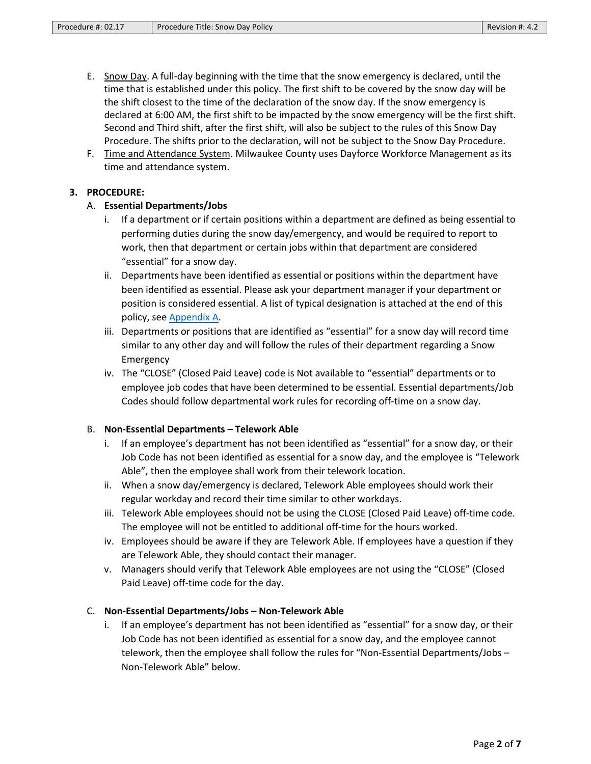- E. Snow Day. A full-day beginning with the time that the snow emergency is declared, until the time that is established under this policy. The first shift to be covered by the snow day will be the shift closest to the time of the declaration of the snow day. If the snow emergency is declared at 6:00 AM, the first shift to be impacted by the snow emergency will be the first shift. Second and Third shift, after the first shift, will also be subject to the rules of this Snow Day Procedure. The shifts prior to the declaration, will not be subject to the Snow Day Procedure.
- F. Time and Attendance System. Milwaukee County uses Dayforce Workforce Management as its time and attendance system.

#### **3. PROCEDURE:**

#### A. **Essential Departments/Jobs**

- i. If a department or if certain positions within a department are defined as being essential to performing duties during the snow day/emergency, and would be required to report to work, then that department or certain jobs within that department are considered "essential" for a snow day.
- ii. Departments have been identified as essential or positions within the department have been identified as essential. Please ask your department manager if your department or position is considered essential. A list of typical designation is attached at the end of this policy, see [Appendix A.](#page-6-0)
- iii. Departments or positions that are identified as "essential" for a snow day will record time similar to any other day and will follow the rules of their department regarding a Snow Emergency
- iv. The "CLOSE" (Closed Paid Leave) code is Not available to "essential" departments or to employee job codes that have been determined to be essential. Essential departments/Job Codes should follow departmental work rules for recording off-time on a snow day.

#### B. **Non-Essential Departments – Telework Able**

- i. If an employee's department has not been identified as "essential" for a snow day, or their Job Code has not been identified as essential for a snow day, and the employee is "Telework Able", then the employee shall work from their telework location.
- ii. When a snow day/emergency is declared, Telework Able employees should work their regular workday and record their time similar to other workdays.
- iii. Telework Able employees should not be using the CLOSE (Closed Paid Leave) off-time code. The employee will not be entitled to additional off-time for the hours worked.
- iv. Employees should be aware if they are Telework Able. If employees have a question if they are Telework Able, they should contact their manager.
- v. Managers should verify that Telework Able employees are not using the "CLOSE" (Closed Paid Leave) off-time code for the day.

#### C. **Non-Essential Departments/Jobs – Non-Telework Able**

i. If an employee's department has not been identified as "essential" for a snow day, or their Job Code has not been identified as essential for a snow day, and the employee cannot telework, then the employee shall follow the rules for "Non-Essential Departments/Jobs – Non-Telework Able" below.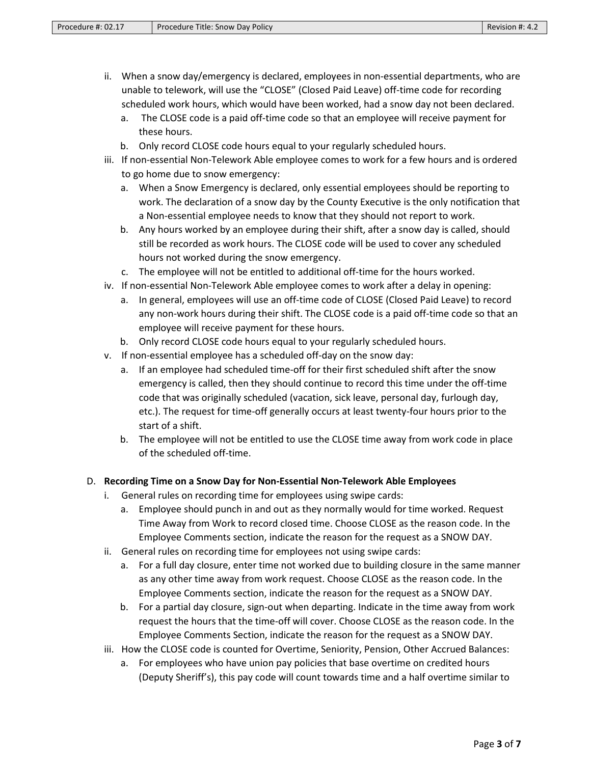- ii. When a snow day/emergency is declared, employees in non-essential departments, who are unable to telework, will use the "CLOSE" (Closed Paid Leave) off-time code for recording scheduled work hours, which would have been worked, had a snow day not been declared.
	- a. The CLOSE code is a paid off-time code so that an employee will receive payment for these hours.
	- b. Only record CLOSE code hours equal to your regularly scheduled hours.
- iii. If non-essential Non-Telework Able employee comes to work for a few hours and is ordered to go home due to snow emergency:
	- a. When a Snow Emergency is declared, only essential employees should be reporting to work. The declaration of a snow day by the County Executive is the only notification that a Non-essential employee needs to know that they should not report to work.
	- b. Any hours worked by an employee during their shift, after a snow day is called, should still be recorded as work hours. The CLOSE code will be used to cover any scheduled hours not worked during the snow emergency.
	- c. The employee will not be entitled to additional off-time for the hours worked.
- iv. If non-essential Non-Telework Able employee comes to work after a delay in opening:
	- a. In general, employees will use an off-time code of CLOSE (Closed Paid Leave) to record any non-work hours during their shift. The CLOSE code is a paid off-time code so that an employee will receive payment for these hours.
	- b. Only record CLOSE code hours equal to your regularly scheduled hours.
- v. If non-essential employee has a scheduled off-day on the snow day:
	- a. If an employee had scheduled time-off for their first scheduled shift after the snow emergency is called, then they should continue to record this time under the off-time code that was originally scheduled (vacation, sick leave, personal day, furlough day, etc.). The request for time-off generally occurs at least twenty-four hours prior to the start of a shift.
	- b. The employee will not be entitled to use the CLOSE time away from work code in place of the scheduled off-time.

#### D. **Recording Time on a Snow Day for Non-Essential Non-Telework Able Employees**

- i. General rules on recording time for employees using swipe cards:
	- a. Employee should punch in and out as they normally would for time worked. Request Time Away from Work to record closed time. Choose CLOSE as the reason code. In the Employee Comments section, indicate the reason for the request as a SNOW DAY.
- ii. General rules on recording time for employees not using swipe cards:
	- a. For a full day closure, enter time not worked due to building closure in the same manner as any other time away from work request. Choose CLOSE as the reason code. In the Employee Comments section, indicate the reason for the request as a SNOW DAY.
	- b. For a partial day closure, sign-out when departing. Indicate in the time away from work request the hours that the time-off will cover. Choose CLOSE as the reason code. In the Employee Comments Section, indicate the reason for the request as a SNOW DAY.
- iii. How the CLOSE code is counted for Overtime, Seniority, Pension, Other Accrued Balances:
	- a. For employees who have union pay policies that base overtime on credited hours (Deputy Sheriff's), this pay code will count towards time and a half overtime similar to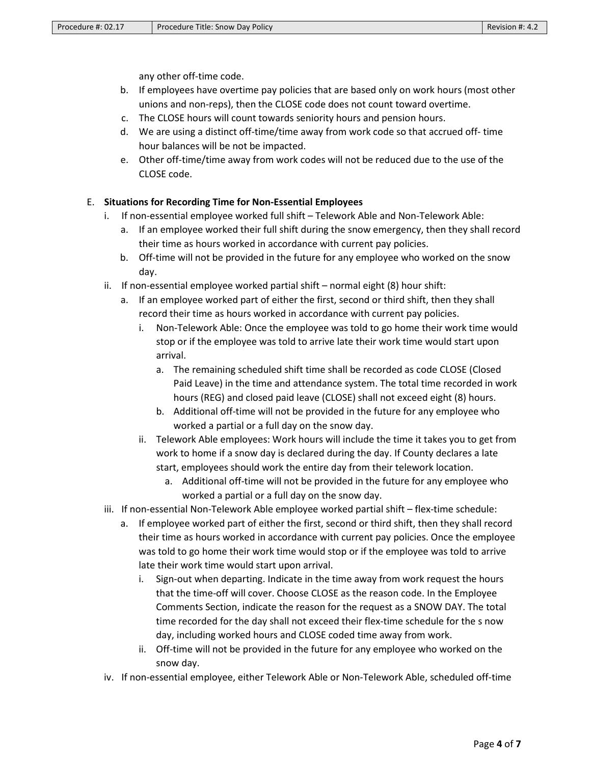any other off-time code.

- b. If employees have overtime pay policies that are based only on work hours (most other unions and non-reps), then the CLOSE code does not count toward overtime.
- c. The CLOSE hours will count towards seniority hours and pension hours.
- d. We are using a distinct off-time/time away from work code so that accrued off- time hour balances will be not be impacted.
- e. Other off-time/time away from work codes will not be reduced due to the use of the CLOSE code.

### E. **Situations for Recording Time for Non-Essential Employees**

- i. If non-essential employee worked full shift Telework Able and Non-Telework Able:
	- a. If an employee worked their full shift during the snow emergency, then they shall record their time as hours worked in accordance with current pay policies.
	- b. Off-time will not be provided in the future for any employee who worked on the snow day.
- ii. If non-essential employee worked partial shift normal eight (8) hour shift:
	- a. If an employee worked part of either the first, second or third shift, then they shall record their time as hours worked in accordance with current pay policies.
		- i. Non-Telework Able: Once the employee was told to go home their work time would stop or if the employee was told to arrive late their work time would start upon arrival.
			- a. The remaining scheduled shift time shall be recorded as code CLOSE (Closed Paid Leave) in the time and attendance system. The total time recorded in work hours (REG) and closed paid leave (CLOSE) shall not exceed eight (8) hours.
			- b. Additional off-time will not be provided in the future for any employee who worked a partial or a full day on the snow day.
		- ii. Telework Able employees: Work hours will include the time it takes you to get from work to home if a snow day is declared during the day. If County declares a late start, employees should work the entire day from their telework location.
			- a. Additional off-time will not be provided in the future for any employee who worked a partial or a full day on the snow day.
- iii. If non-essential Non-Telework Able employee worked partial shift flex-time schedule:
	- a. If employee worked part of either the first, second or third shift, then they shall record their time as hours worked in accordance with current pay policies. Once the employee was told to go home their work time would stop or if the employee was told to arrive late their work time would start upon arrival.
		- i. Sign-out when departing. Indicate in the time away from work request the hours that the time-off will cover. Choose CLOSE as the reason code. In the Employee Comments Section, indicate the reason for the request as a SNOW DAY. The total time recorded for the day shall not exceed their flex-time schedule for the s now day, including worked hours and CLOSE coded time away from work.
		- ii. Off-time will not be provided in the future for any employee who worked on the snow day.
- iv. If non-essential employee, either Telework Able or Non-Telework Able, scheduled off-time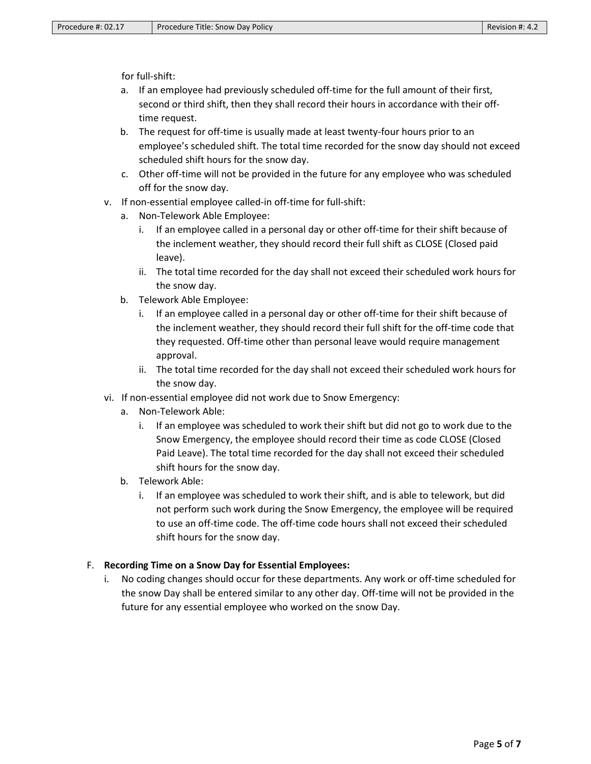for full-shift:

- a. If an employee had previously scheduled off-time for the full amount of their first, second or third shift, then they shall record their hours in accordance with their offtime request.
- b. The request for off-time is usually made at least twenty-four hours prior to an employee's scheduled shift. The total time recorded for the snow day should not exceed scheduled shift hours for the snow day.
- c. Other off-time will not be provided in the future for any employee who was scheduled off for the snow day.
- v. If non-essential employee called-in off-time for full-shift:
	- a. Non-Telework Able Employee:
		- i. If an employee called in a personal day or other off-time for their shift because of the inclement weather, they should record their full shift as CLOSE (Closed paid leave).
		- ii. The total time recorded for the day shall not exceed their scheduled work hours for the snow day.
	- b. Telework Able Employee:
		- i. If an employee called in a personal day or other off-time for their shift because of the inclement weather, they should record their full shift for the off-time code that they requested. Off-time other than personal leave would require management approval.
		- ii. The total time recorded for the day shall not exceed their scheduled work hours for the snow day.
- vi. If non-essential employee did not work due to Snow Emergency:
	- a. Non-Telework Able:
		- i. If an employee was scheduled to work their shift but did not go to work due to the Snow Emergency, the employee should record their time as code CLOSE (Closed Paid Leave). The total time recorded for the day shall not exceed their scheduled shift hours for the snow day.
	- b. Telework Able:
		- i. If an employee was scheduled to work their shift, and is able to telework, but did not perform such work during the Snow Emergency, the employee will be required to use an off-time code. The off-time code hours shall not exceed their scheduled shift hours for the snow day.

## F. **Recording Time on a Snow Day for Essential Employees:**

i. No coding changes should occur for these departments. Any work or off-time scheduled for the snow Day shall be entered similar to any other day. Off-time will not be provided in the future for any essential employee who worked on the snow Day.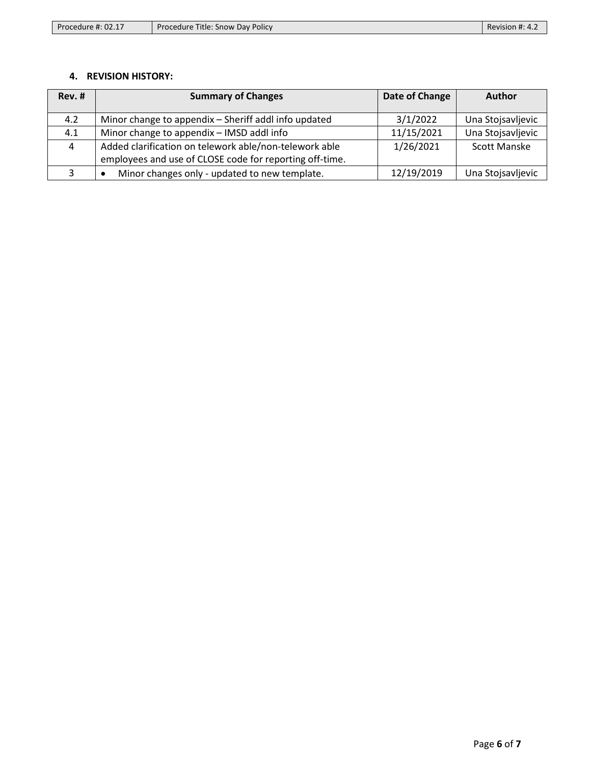| Procedure #: 02.17 | . Title: Snow Day Policy<br>Procedure | Revision #: 4.2 |
|--------------------|---------------------------------------|-----------------|
|--------------------|---------------------------------------|-----------------|

## **4. REVISION HISTORY:**

| Rev. # | <b>Summary of Changes</b>                                  | Date of Change | <b>Author</b>       |
|--------|------------------------------------------------------------|----------------|---------------------|
|        |                                                            |                |                     |
| 4.2    | Minor change to appendix - Sheriff addl info updated       | 3/1/2022       | Una Stojsavljevic   |
| 4.1    | Minor change to appendix - IMSD addl info                  | 11/15/2021     | Una Stojsavljevic   |
| 4      | Added clarification on telework able/non-telework able     | 1/26/2021      | <b>Scott Manske</b> |
|        | employees and use of CLOSE code for reporting off-time.    |                |                     |
|        | Minor changes only - updated to new template.<br>$\bullet$ | 12/19/2019     | Una Stojsavljevic   |